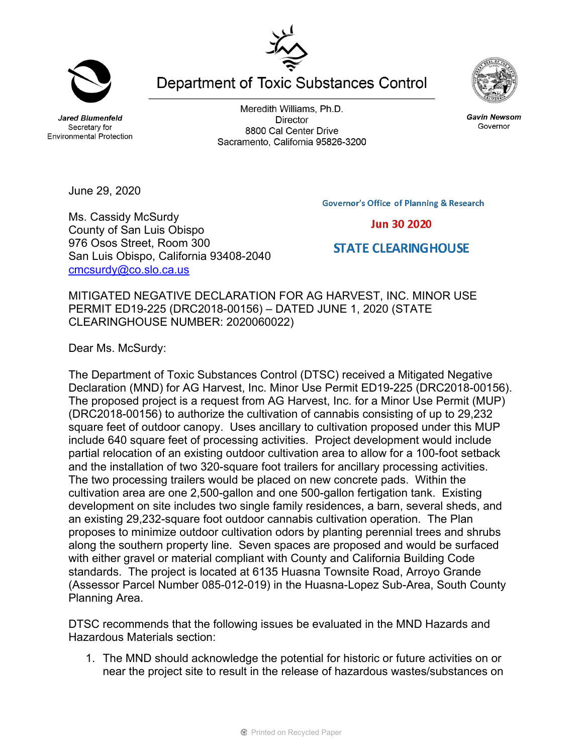**Jared Blumenfeld** Secretary for **Environmental Protection** 

June 29, 2020

Ms. Cassidy McSurdy County of San Luis Obispo 976 Osos Street, Room 300

[cmcsurdy@co.slo.ca.us](mailto:cmcsurdy@co.slo.ca.us)

San Luis Obispo, California 93408-2040

Meredith Williams, Ph.D. **Director** 8800 Cal Center Drive Sacramento, California 95826-3200

**Department of Toxic Substances Control** 

**Governor's Office of Planning & Research** 

## **Jun 30 2020**

## **STATE CLEARINGHOUSE**

MITIGATED NEGATIVE DECLARATION FOR AG HARVEST, INC. MINOR USE PERMIT ED19-225 (DRC2018-00156) – DATED JUNE 1, 2020 (STATE CLEARINGHOUSE NUMBER: 2020060022)

Dear Ms. McSurdy:

The Department of Toxic Substances Control (DTSC) received a Mitigated Negative Declaration (MND) for AG Harvest, Inc. Minor Use Permit ED19-225 (DRC2018-00156). The proposed project is a request from AG Harvest, Inc. for a Minor Use Permit (MUP) (DRC2018-00156) to authorize the cultivation of cannabis consisting of up to 29,232 square feet of outdoor canopy. Uses ancillary to cultivation proposed under this MUP include 640 square feet of processing activities. Project development would include partial relocation of an existing outdoor cultivation area to allow for a 100-foot setback and the installation of two 320-square foot trailers for ancillary processing activities. The two processing trailers would be placed on new concrete pads. Within the cultivation area are one 2,500-gallon and one 500-gallon fertigation tank. Existing development on site includes two single family residences, a barn, several sheds, and an existing 29,232-square foot outdoor cannabis cultivation operation. The Plan proposes to minimize outdoor cultivation odors by planting perennial trees and shrubs along the southern property line. Seven spaces are proposed and would be surfaced with either gravel or material compliant with County and California Building Code standards. The project is located at 6135 Huasna Townsite Road, Arroyo Grande (Assessor Parcel Number 085-012-019) in the Huasna-Lopez Sub-Area, South County Planning Area.

DTSC recommends that the following issues be evaluated in the MND Hazards and Hazardous Materials section:

1. The MND should acknowledge the potential for historic or future activities on or near the project site to result in the release of hazardous wastes/substances on







**Gavin Newsom** Governor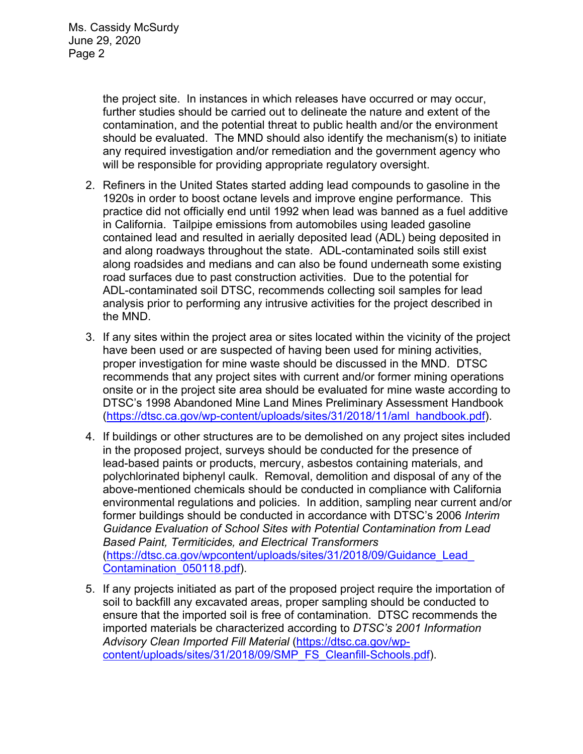the project site. In instances in which releases have occurred or may occur, further studies should be carried out to delineate the nature and extent of the contamination, and the potential threat to public health and/or the environment should be evaluated. The MND should also identify the mechanism(s) to initiate any required investigation and/or remediation and the government agency who will be responsible for providing appropriate regulatory oversight.

- 2. Refiners in the United States started adding lead compounds to gasoline in the 1920s in order to boost octane levels and improve engine performance. This practice did not officially end until 1992 when lead was banned as a fuel additive in California. Tailpipe emissions from automobiles using leaded gasoline contained lead and resulted in aerially deposited lead (ADL) being deposited in and along roadways throughout the state. ADL-contaminated soils still exist along roadsides and medians and can also be found underneath some existing road surfaces due to past construction activities. Due to the potential for ADL-contaminated soil DTSC, recommends collecting soil samples for lead analysis prior to performing any intrusive activities for the project described in the MND.
- 3. If any sites within the project area or sites located within the vicinity of the project have been used or are suspected of having been used for mining activities, proper investigation for mine waste should be discussed in the MND. DTSC recommends that any project sites with current and/or former mining operations onsite or in the project site area should be evaluated for mine waste according to DTSC's 1998 Abandoned Mine Land Mines Preliminary Assessment Handbook [\(https://dtsc.ca.gov/wp-content/uploads/sites/31/2018/11/aml\\_handbook.pdf\)](https://dtsc.ca.gov/wp-content/uploads/sites/31/2018/11/aml_handbook.pdf).
- 4. If buildings or other structures are to be demolished on any project sites included in the proposed project, surveys should be conducted for the presence of lead-based paints or products, mercury, asbestos containing materials, and polychlorinated biphenyl caulk. Removal, demolition and disposal of any of the above-mentioned chemicals should be conducted in compliance with California environmental regulations and policies. In addition, sampling near current and/or former buildings should be conducted in accordance with DTSC's 2006 *Interim Guidance Evaluation of School Sites with Potential Contamination from Lead Based Paint, Termiticides, and Electrical Transformers* [\(https://dtsc.ca.gov/wpcontent/uploads/sites/31/2018/09/Guidance\\_Lead\\_](https://gcc02.safelinks.protection.outlook.com/?url=https%3A%2F%2Fdtsc.ca.gov%2Fwp-content%2Fuploads%2Fsites%2F31%2F2018%2F09%2FGuidance_Lead_Contamination_050118.pdf&data=02%7C01%7C%7C5d5d271a38734f176ff008d74b61ecfd%7C3f4ffbf4c7604c2abab8c63ef4bd2439%7C0%7C0%7C637060756261296590&sdata=1JGWitJI6nMkU%2FVDzi0GYiam5nl8DLJhkRmLCticfdA%3D&reserved=0)  [Contamination\\_050118.pdf\)](https://gcc02.safelinks.protection.outlook.com/?url=https%3A%2F%2Fdtsc.ca.gov%2Fwp-content%2Fuploads%2Fsites%2F31%2F2018%2F09%2FGuidance_Lead_Contamination_050118.pdf&data=02%7C01%7C%7C5d5d271a38734f176ff008d74b61ecfd%7C3f4ffbf4c7604c2abab8c63ef4bd2439%7C0%7C0%7C637060756261296590&sdata=1JGWitJI6nMkU%2FVDzi0GYiam5nl8DLJhkRmLCticfdA%3D&reserved=0).
- 5. If any projects initiated as part of the proposed project require the importation of soil to backfill any excavated areas, proper sampling should be conducted to ensure that the imported soil is free of contamination. DTSC recommends the imported materials be characterized according to *DTSC's 2001 Information Advisory Clean Imported Fill Material* [\(https://dtsc.ca.gov/wp](https://dtsc.ca.gov/wp-content/uploads/sites/31/2018/09/SMP_FS_Cleanfill-Schools.pdf)[content/uploads/sites/31/2018/09/SMP\\_FS\\_Cleanfill-Schools.pdf\)](https://dtsc.ca.gov/wp-content/uploads/sites/31/2018/09/SMP_FS_Cleanfill-Schools.pdf).